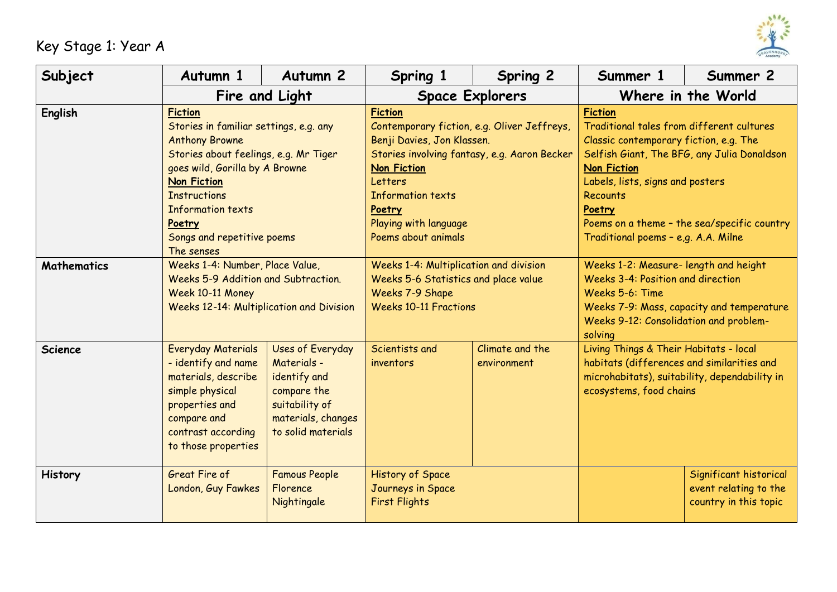

## Key Stage 1: Year A

| Subject            | Autumn 1                                                                                                                                                                                                                                                                                    | Autumn <sub>2</sub>                                                                                                          | Spring 1                                                                                                                                                                                                                                                           | Spring 2                       | Summer 1                                                                                                                                                                                                                                                                                                                          | Summer 2                                                                 |  |
|--------------------|---------------------------------------------------------------------------------------------------------------------------------------------------------------------------------------------------------------------------------------------------------------------------------------------|------------------------------------------------------------------------------------------------------------------------------|--------------------------------------------------------------------------------------------------------------------------------------------------------------------------------------------------------------------------------------------------------------------|--------------------------------|-----------------------------------------------------------------------------------------------------------------------------------------------------------------------------------------------------------------------------------------------------------------------------------------------------------------------------------|--------------------------------------------------------------------------|--|
|                    | Fire and Light                                                                                                                                                                                                                                                                              |                                                                                                                              |                                                                                                                                                                                                                                                                    | <b>Space Explorers</b>         |                                                                                                                                                                                                                                                                                                                                   | Where in the World                                                       |  |
| <b>English</b>     | <b>Fiction</b><br>Stories in familiar settings, e.g. any<br><b>Anthony Browne</b><br>Stories about feelings, e.g. Mr Tiger<br>goes wild, Gorilla by A Browne<br><b>Non Fiction</b><br><b>Instructions</b><br><b>Information texts</b><br>Poetry<br>Songs and repetitive poems<br>The senses |                                                                                                                              | <b>Fiction</b><br>Contemporary fiction, e.g. Oliver Jeffreys,<br>Benji Davies, Jon Klassen.<br>Stories involving fantasy, e.g. Aaron Becker<br><b>Non Fiction</b><br>Letters<br><b>Information texts</b><br>Poetry<br>Playing with language<br>Poems about animals |                                | <b>Fiction</b><br>Traditional tales from different cultures<br>Classic contemporary fiction, e.g. The<br>Selfish Giant, The BFG, any Julia Donaldson<br><b>Non Fiction</b><br>Labels, lists, signs and posters<br><b>Recounts</b><br>Poetry<br>Poems on a theme - the sea/specific country<br>Traditional poems - e,g. A.A. Milne |                                                                          |  |
| <b>Mathematics</b> | Weeks 1-4: Number, Place Value,<br>Weeks 5-9 Addition and Subtraction.<br>Week 10-11 Money<br><b>Weeks 12-14: Multiplication and Division</b>                                                                                                                                               |                                                                                                                              | Weeks 1-4: Multiplication and division<br>Weeks 5-6 Statistics and place value<br>Weeks 7-9 Shape<br><b>Weeks 10-11 Fractions</b>                                                                                                                                  |                                | Weeks 1-2: Measure- length and height<br><b>Weeks 3-4: Position and direction</b><br>Weeks 5-6: Time<br>Weeks 7-9: Mass, capacity and temperature<br>Weeks 9-12: Consolidation and problem-<br>solving                                                                                                                            |                                                                          |  |
| <b>Science</b>     | <b>Everyday Materials</b><br>- identify and name<br>materials, describe<br>simple physical<br>properties and<br>compare and<br>contrast according<br>to those properties                                                                                                                    | Uses of Everyday<br>Materials -<br>identify and<br>compare the<br>suitability of<br>materials, changes<br>to solid materials | Scientists and<br>inventors                                                                                                                                                                                                                                        | Climate and the<br>environment | Living Things & Their Habitats - local<br>habitats (differences and similarities and<br>microhabitats), suitability, dependability in<br>ecosystems, food chains                                                                                                                                                                  |                                                                          |  |
| <b>History</b>     | Great Fire of<br>London, Guy Fawkes                                                                                                                                                                                                                                                         | <b>Famous People</b><br>Florence<br>Nightingale                                                                              | History of Space<br>Journeys in Space<br><b>First Flights</b>                                                                                                                                                                                                      |                                |                                                                                                                                                                                                                                                                                                                                   | Significant historical<br>event relating to the<br>country in this topic |  |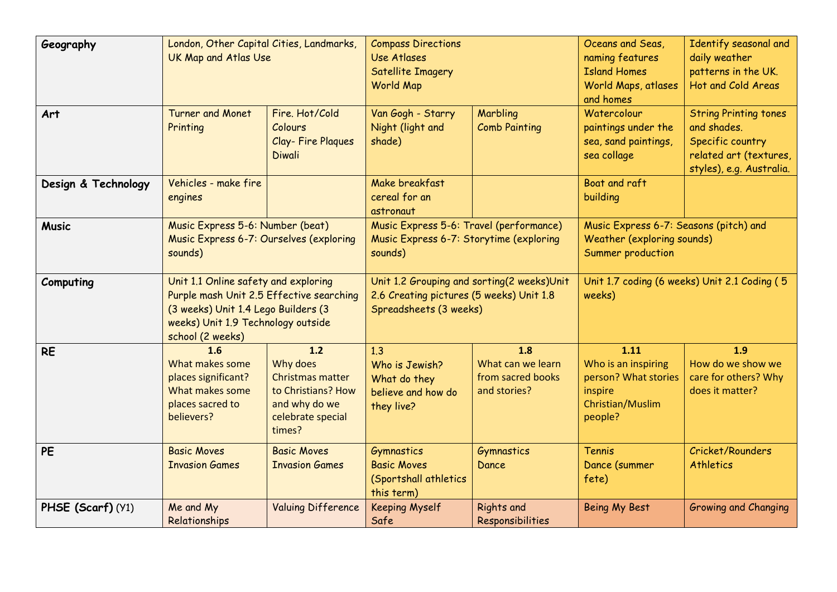| Geography           | London, Other Capital Cities, Landmarks,<br><b>UK Map and Atlas Use</b>                                                                                                           |                                                                                                                    | <b>Compass Directions</b><br>Use Atlases<br>Satellite Imagery<br>World Map                    |                                                                                                                                                                            | Oceans and Seas,<br>naming features<br><b>Island Homes</b><br>World Maps, atlases<br>and homes | Identify seasonal and<br>daily weather<br>patterns in the UK.<br>Hot and Cold Areas                                   |
|---------------------|-----------------------------------------------------------------------------------------------------------------------------------------------------------------------------------|--------------------------------------------------------------------------------------------------------------------|-----------------------------------------------------------------------------------------------|----------------------------------------------------------------------------------------------------------------------------------------------------------------------------|------------------------------------------------------------------------------------------------|-----------------------------------------------------------------------------------------------------------------------|
| Art                 | <b>Turner and Monet</b><br>Printing                                                                                                                                               | Fire, Hot/Cold<br>Colours<br>Clay-Fire Plagues<br><b>Diwali</b>                                                    | Van Gogh - Starry<br>Night (light and<br>shade)                                               | Marbling<br><b>Comb Painting</b>                                                                                                                                           | Watercolour<br>paintings under the<br>sea, sand paintings,<br>sea collage                      | <b>String Printing tones</b><br>and shades.<br>Specific country<br>related art (textures,<br>styles), e.g. Australia. |
| Design & Technology | Vehicles - make fire<br>engines                                                                                                                                                   |                                                                                                                    | Make breakfast<br>cereal for an<br>astronaut                                                  |                                                                                                                                                                            | Boat and raft<br>building                                                                      |                                                                                                                       |
| <b>Music</b>        | Music Express 5-6: Number (beat)<br>Music Express 6-7: Ourselves (exploring<br>sounds)                                                                                            |                                                                                                                    | Music Express 5-6: Travel (performance)<br>Music Express 6-7: Storytime (exploring<br>sounds) |                                                                                                                                                                            | Music Express 6-7: Seasons (pitch) and<br>Weather (exploring sounds)<br>Summer production      |                                                                                                                       |
| Computing           | Unit 1.1 Online safety and exploring<br>Purple mash Unit 2.5 Effective searching<br>(3 weeks) Unit 1.4 Lego Builders (3<br>weeks) Unit 1.9 Technology outside<br>school (2 weeks) |                                                                                                                    |                                                                                               | Unit 1.2 Grouping and sorting(2 weeks)Unit<br>Unit 1.7 coding (6 weeks) Unit 2.1 Coding (5<br>2.6 Creating pictures (5 weeks) Unit 1.8<br>weeks)<br>Spreadsheets (3 weeks) |                                                                                                |                                                                                                                       |
| <b>RE</b>           | 1.6<br>What makes some<br>places significant?<br>What makes some<br>places sacred to<br>believers?                                                                                | $1.2$<br>Why does<br><b>Christmas matter</b><br>to Christians? How<br>and why do we<br>celebrate special<br>times? | 1.3<br>Who is Jewish?<br>What do they<br>believe and how do<br>they live?                     | 1.8<br>What can we learn<br>from sacred books<br>and stories?                                                                                                              | 1.11<br>Who is an inspiring<br>person? What stories<br>inspire<br>Christian/Muslim<br>people?  | 1.9<br>How do we show we<br>care for others? Why<br>does it matter?                                                   |
| PE                  | <b>Basic Moves</b><br><b>Invasion Games</b>                                                                                                                                       | <b>Basic Moves</b><br><b>Invasion Games</b>                                                                        | Gymnastics<br><b>Basic Moves</b><br>(Sportshall athletics<br>this term)                       | Gymnastics<br>Dance                                                                                                                                                        | Tennis<br>Dance (summer<br>fete)                                                               | Cricket/Rounders<br><b>Athletics</b>                                                                                  |
| PHSE (Scarf) (Y1)   | Me and My<br>Relationships                                                                                                                                                        | <b>Valuing Difference</b>                                                                                          | <b>Keeping Myself</b><br>Safe                                                                 | <b>Rights and</b><br>Responsibilities                                                                                                                                      | Being My Best                                                                                  | <b>Growing and Changing</b>                                                                                           |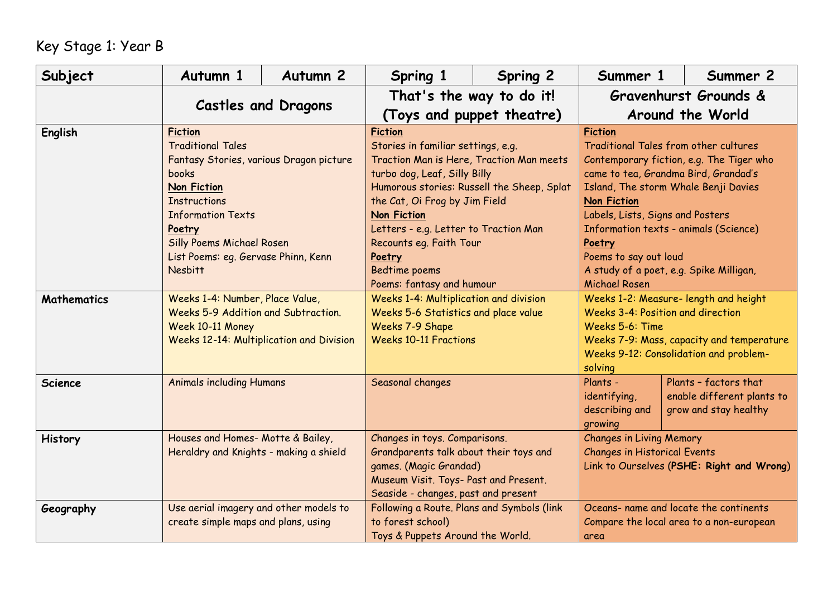## Key Stage 1: Year B

| Subject            | Autumn 1                                                                                                                                                                                                                                                                       | Autumn <sub>2</sub>                                                         | Spring 1                                                                                                                                                                                                                                                                                                                                                          | <b>Spring 2</b>                                                                                                                                                                   | Summer 1                                                                                                                                                                                                                                                                                                                                                                                     | Summer 2                                                                                                            |  |
|--------------------|--------------------------------------------------------------------------------------------------------------------------------------------------------------------------------------------------------------------------------------------------------------------------------|-----------------------------------------------------------------------------|-------------------------------------------------------------------------------------------------------------------------------------------------------------------------------------------------------------------------------------------------------------------------------------------------------------------------------------------------------------------|-----------------------------------------------------------------------------------------------------------------------------------------------------------------------------------|----------------------------------------------------------------------------------------------------------------------------------------------------------------------------------------------------------------------------------------------------------------------------------------------------------------------------------------------------------------------------------------------|---------------------------------------------------------------------------------------------------------------------|--|
|                    |                                                                                                                                                                                                                                                                                |                                                                             | That's the way to do it!                                                                                                                                                                                                                                                                                                                                          |                                                                                                                                                                                   | Gravenhurst Grounds &                                                                                                                                                                                                                                                                                                                                                                        |                                                                                                                     |  |
|                    | <b>Castles and Dragons</b>                                                                                                                                                                                                                                                     |                                                                             | (Toys and puppet theatre)                                                                                                                                                                                                                                                                                                                                         |                                                                                                                                                                                   |                                                                                                                                                                                                                                                                                                                                                                                              | Around the World                                                                                                    |  |
| <b>English</b>     | <b>Fiction</b><br><b>Traditional Tales</b><br>Fantasy Stories, various Dragon picture<br>books<br><b>Non Fiction</b><br><b>Instructions</b><br><b>Information Texts</b><br>Poetry<br><b>Silly Poems Michael Rosen</b><br>List Poems: eq. Gervase Phinn, Kenn<br><b>Nesbitt</b> |                                                                             | <b>Fiction</b><br>Stories in familiar settings, e.g.<br>Traction Man is Here, Traction Man meets<br>turbo dog, Leaf, Silly Billy<br>Humorous stories: Russell the Sheep, Splat<br>the Cat, Oi Frog by Jim Field<br><b>Non Fiction</b><br>Letters - e.g. Letter to Traction Man<br>Recounts eg. Faith Tour<br>Poetry<br>Bedtime poems<br>Poems: fantasy and humour |                                                                                                                                                                                   | <b>Fiction</b><br>Traditional Tales from other cultures<br>Contemporary fiction, e.g. The Tiger who<br>came to tea, Grandma Bird, Grandad's<br>Island, The storm Whale Benji Davies<br><b>Non Fiction</b><br>Labels, Lists, Signs and Posters<br>Information texts - animals (Science)<br>Poetry<br>Poems to say out loud<br>A study of a poet, e.g. Spike Milligan,<br><b>Michael Rosen</b> |                                                                                                                     |  |
| <b>Mathematics</b> | Weeks 1-4: Number, Place Value,<br>Weeks 5-9 Addition and Subtraction.<br>Week 10-11 Money<br><b>Weeks 12-14: Multiplication and Division</b>                                                                                                                                  |                                                                             | Weeks 1-4: Multiplication and division<br>Weeks 5-6 Statistics and place value<br>Weeks 7-9 Shape<br><b>Weeks 10-11 Fractions</b>                                                                                                                                                                                                                                 |                                                                                                                                                                                   | Weeks 1-2: Measure- length and height<br>Weeks 3-4: Position and direction<br>Weeks 5-6: Time<br>Weeks 7-9: Mass, capacity and temperature<br>Weeks 9-12: Consolidation and problem-<br>solving                                                                                                                                                                                              |                                                                                                                     |  |
| <b>Science</b>     | <b>Animals including Humans</b>                                                                                                                                                                                                                                                |                                                                             | Seasonal changes                                                                                                                                                                                                                                                                                                                                                  |                                                                                                                                                                                   | Plants -<br>identifying,<br>describing and<br>growing                                                                                                                                                                                                                                                                                                                                        | Plants - factors that<br>enable different plants to<br>grow and stay healthy                                        |  |
| <b>History</b>     |                                                                                                                                                                                                                                                                                | Houses and Homes- Motte & Bailey,<br>Heraldry and Knights - making a shield |                                                                                                                                                                                                                                                                                                                                                                   | Changes in toys. Comparisons.<br>Grandparents talk about their toys and<br>games. (Magic Grandad)<br>Museum Visit. Toys- Past and Present.<br>Seaside - changes, past and present |                                                                                                                                                                                                                                                                                                                                                                                              | <b>Changes in Living Memory</b><br><b>Changes in Historical Events</b><br>Link to Ourselves (PSHE: Right and Wrong) |  |
| Geography          | Use aerial imagery and other models to<br>create simple maps and plans, using                                                                                                                                                                                                  |                                                                             | Following a Route. Plans and Symbols (link<br>to forest school)<br>Toys & Puppets Around the World.                                                                                                                                                                                                                                                               |                                                                                                                                                                                   | Oceans- name and locate the continents<br>Compare the local area to a non-european<br>area                                                                                                                                                                                                                                                                                                   |                                                                                                                     |  |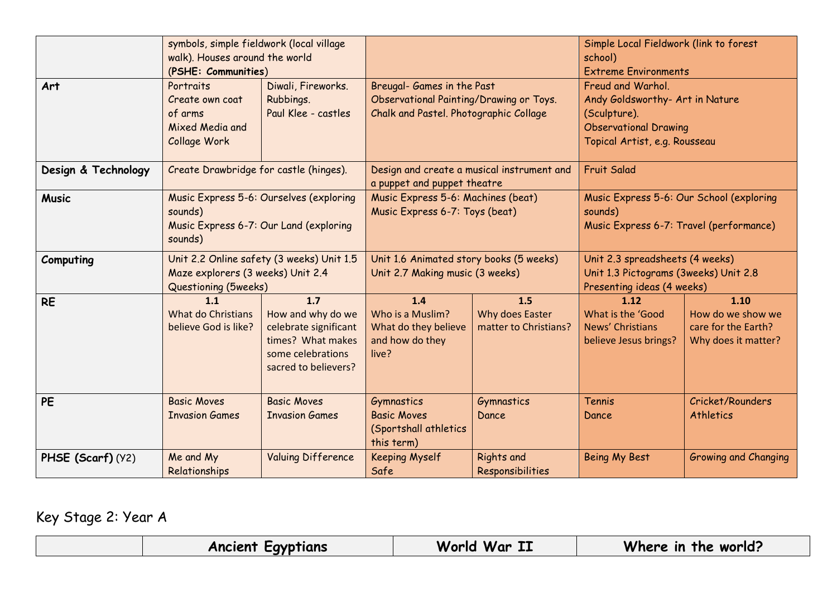|                     | symbols, simple fieldwork (local village<br>walk). Houses around the world<br>(PSHE: Communities)       |                                                                                                                     |                                                                                                                 | Simple Local Fieldwork (link to forest<br>school)<br><b>Extreme Environments</b> |                                                                                                                                       |                                                                         |
|---------------------|---------------------------------------------------------------------------------------------------------|---------------------------------------------------------------------------------------------------------------------|-----------------------------------------------------------------------------------------------------------------|----------------------------------------------------------------------------------|---------------------------------------------------------------------------------------------------------------------------------------|-------------------------------------------------------------------------|
| Art                 | Portraits<br>Create own coat<br>of arms<br>Mixed Media and<br>Collage Work                              | Diwali, Fireworks.<br>Rubbings.<br>Paul Klee - castles                                                              | Breugal- Games in the Past<br>Observational Painting/Drawing or Toys.<br>Chalk and Pastel. Photographic Collage |                                                                                  | Freud and Warhol.<br>Andy Goldsworthy- Art in Nature<br>(Sculpture).<br><b>Observational Drawing</b><br>Topical Artist, e.g. Rousseau |                                                                         |
| Design & Technology | Create Drawbridge for castle (hinges).                                                                  |                                                                                                                     | a puppet and puppet theatre                                                                                     | Design and create a musical instrument and                                       | <b>Fruit Salad</b>                                                                                                                    |                                                                         |
| <b>Music</b>        | Music Express 5-6: Ourselves (exploring<br>sounds)<br>Music Express 6-7: Our Land (exploring<br>sounds) |                                                                                                                     | Music Express 5-6: Machines (beat)<br>Music Express 6-7: Toys (beat)                                            |                                                                                  | Music Express 5-6: Our School (exploring<br>sounds)<br>Music Express 6-7: Travel (performance)                                        |                                                                         |
| Computing           | Unit 2.2 Online safety (3 weeks) Unit 1.5<br>Maze explorers (3 weeks) Unit 2.4<br>Questioning (5weeks)  |                                                                                                                     | Unit 1.6 Animated story books (5 weeks)<br>Unit 2.7 Making music (3 weeks)                                      |                                                                                  | Unit 2.3 spreadsheets (4 weeks)<br>Unit 1.3 Pictograms (3weeks) Unit 2.8<br>Presenting ideas (4 weeks)                                |                                                                         |
| <b>RE</b>           | 1.1<br>What do Christians<br>believe God is like?                                                       | 1.7<br>How and why do we<br>celebrate significant<br>times? What makes<br>some celebrations<br>sacred to believers? | 1.4<br>Who is a Muslim?<br>What do they believe<br>and how do they<br>live?                                     | 1.5<br>Why does Easter<br>matter to Christians?                                  | 1.12<br>What is the 'Good<br>News' Christians<br>believe Jesus brings?                                                                | 1.10<br>How do we show we<br>care for the Earth?<br>Why does it matter? |
| <b>PE</b>           | <b>Basic Moves</b><br><b>Invasion Games</b>                                                             | <b>Basic Moves</b><br><b>Invasion Games</b>                                                                         | <b>Gymnastics</b><br><b>Basic Moves</b><br>(Sportshall athletics<br>this term)                                  | <b>Gymnastics</b><br>Dance                                                       | Tennis<br>Dance                                                                                                                       | Cricket/Rounders<br><b>Athletics</b>                                    |
| PHSE (Scarf) (Y2)   | Me and My<br>Relationships                                                                              | <b>Valuing Difference</b>                                                                                           | <b>Keeping Myself</b><br>Safe                                                                                   | <b>Rights and</b><br>Responsibilities                                            | <b>Being My Best</b>                                                                                                                  | Growing and Changing                                                    |

Key Stage 2: Year A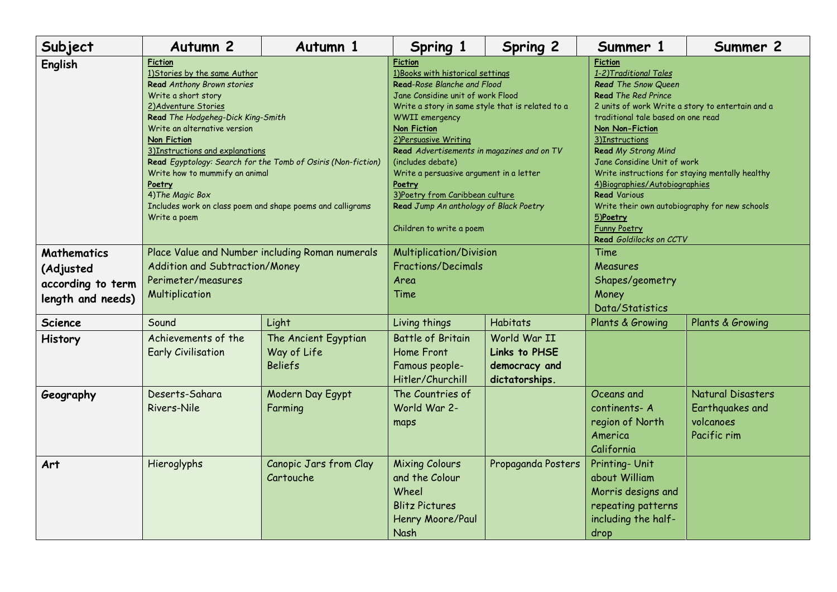| Subject                                                                   | Autumn <sub>2</sub>                                                                                                                                                                                                                                                                                                                                                                                                                                                              | Autumn 1                                              | Spring 1                                                                                                                                                                                                                                                                                                                                                                                                                                                                                     | <b>Spring 2</b>                                                  | Summer 1                                                                                                                                                                                                                                                                                                                                                                                                                                                                                                             | Summer 2                                                         |
|---------------------------------------------------------------------------|----------------------------------------------------------------------------------------------------------------------------------------------------------------------------------------------------------------------------------------------------------------------------------------------------------------------------------------------------------------------------------------------------------------------------------------------------------------------------------|-------------------------------------------------------|----------------------------------------------------------------------------------------------------------------------------------------------------------------------------------------------------------------------------------------------------------------------------------------------------------------------------------------------------------------------------------------------------------------------------------------------------------------------------------------------|------------------------------------------------------------------|----------------------------------------------------------------------------------------------------------------------------------------------------------------------------------------------------------------------------------------------------------------------------------------------------------------------------------------------------------------------------------------------------------------------------------------------------------------------------------------------------------------------|------------------------------------------------------------------|
| <b>English</b>                                                            | <b>Fiction</b><br>1) Stories by the same Author<br>Read Anthony Brown stories<br>Write a short story<br>2) Adventure Stories<br>Read The Hodgeheg-Dick King-Smith<br>Write an alternative version<br><b>Non Fiction</b><br>3) Instructions and explanations<br>Read Egyptology: Search for the Tomb of Osiris (Non-fiction)<br>Write how to mummify an animal<br><b>Poetry</b><br>4) The Magic Box<br>Includes work on class poem and shape poems and calligrams<br>Write a poem |                                                       | <b>Fiction</b><br>1) Books with historical settings<br>Read-Rose Blanche and Flood<br>Jane Considine unit of work Flood<br>Write a story in same style that is related to a<br><b>WWII</b> emergency<br><b>Non Fiction</b><br>2) Persuasive Writing<br>Read Advertisements in magazines and on TV<br>(includes debate)<br>Write a persuasive argument in a letter<br><u>Poetry</u><br>3) Poetry from Caribbean culture<br>Read Jump An anthology of Black Poetry<br>Children to write a poem |                                                                  | <b>Fiction</b><br>1-2) Traditional Tales<br>Read The Snow Queen<br><b>Read The Red Prince</b><br>2 units of work Write a story to entertain and a<br>traditional tale based on one read<br><b>Non Non-Fiction</b><br>3)Instructions<br>Read My Strong Mind<br>Jane Considine Unit of work<br>Write instructions for staying mentally healthy<br>4) Biographies/Autobiographies<br><b>Read Various</b><br>Write their own autobiography for new schools<br>5)Poetry<br><b>Funny Poetry</b><br>Read Goldilocks on CCTV |                                                                  |
| <b>Mathematics</b><br>(Adjusted<br>according to term<br>length and needs) | Place Value and Number including Roman numerals<br>Addition and Subtraction/Money<br>Perimeter/measures<br>Multiplication                                                                                                                                                                                                                                                                                                                                                        |                                                       | Multiplication/Division<br><b>Fractions/Decimals</b><br>Area<br>Time                                                                                                                                                                                                                                                                                                                                                                                                                         |                                                                  | Time<br>Measures<br>Shapes/geometry<br>Money<br>Data/Statistics                                                                                                                                                                                                                                                                                                                                                                                                                                                      |                                                                  |
| <b>Science</b>                                                            | Sound                                                                                                                                                                                                                                                                                                                                                                                                                                                                            | Light                                                 | Living things                                                                                                                                                                                                                                                                                                                                                                                                                                                                                | <b>Habitats</b>                                                  | Plants & Growing                                                                                                                                                                                                                                                                                                                                                                                                                                                                                                     | Plants & Growing                                                 |
| <b>History</b>                                                            | Achievements of the<br><b>Early Civilisation</b>                                                                                                                                                                                                                                                                                                                                                                                                                                 | The Ancient Egyptian<br>Way of Life<br><b>Beliefs</b> | <b>Battle of Britain</b><br>Home Front<br>Famous people-<br>Hitler/Churchill                                                                                                                                                                                                                                                                                                                                                                                                                 | World War II<br>Links to PHSE<br>democracy and<br>dictatorships. |                                                                                                                                                                                                                                                                                                                                                                                                                                                                                                                      |                                                                  |
| Geography                                                                 | Deserts-Sahara<br>Rivers-Nile                                                                                                                                                                                                                                                                                                                                                                                                                                                    | Modern Day Egypt<br>Farming                           | The Countries of<br>World War 2-<br>maps                                                                                                                                                                                                                                                                                                                                                                                                                                                     |                                                                  | Oceans and<br>continents-A<br>region of North<br>America<br>California                                                                                                                                                                                                                                                                                                                                                                                                                                               | Natural Disasters<br>Earthquakes and<br>volcanoes<br>Pacific rim |
| Art                                                                       | Hieroglyphs                                                                                                                                                                                                                                                                                                                                                                                                                                                                      | Canopic Jars from Clay<br>Cartouche                   | <b>Mixing Colours</b><br>and the Colour<br>Wheel<br><b>Blitz Pictures</b><br>Henry Moore/Paul<br>Nash                                                                                                                                                                                                                                                                                                                                                                                        | Propaganda Posters                                               | Printing- Unit<br>about William<br>Morris designs and<br>repeating patterns<br>including the half-<br>drop                                                                                                                                                                                                                                                                                                                                                                                                           |                                                                  |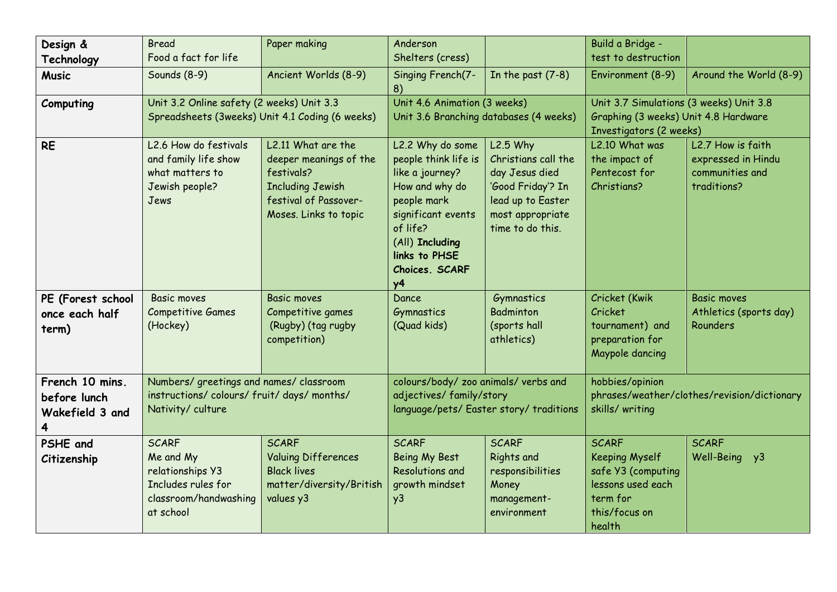| Design &                                           | <b>Bread</b>                                                                                              | Paper making                                                                                                                            | Anderson                                                                                                                                                                                               |                                                                                                                                       | Build a Bridge -                                                                                                        |                                                                           |
|----------------------------------------------------|-----------------------------------------------------------------------------------------------------------|-----------------------------------------------------------------------------------------------------------------------------------------|--------------------------------------------------------------------------------------------------------------------------------------------------------------------------------------------------------|---------------------------------------------------------------------------------------------------------------------------------------|-------------------------------------------------------------------------------------------------------------------------|---------------------------------------------------------------------------|
| Technology                                         | Food a fact for life                                                                                      |                                                                                                                                         | Shelters (cress)                                                                                                                                                                                       |                                                                                                                                       | test to destruction                                                                                                     |                                                                           |
| <b>Music</b>                                       | Sounds (8-9)                                                                                              | Ancient Worlds (8-9)                                                                                                                    | Singing French(7-<br>8)                                                                                                                                                                                | In the past $(7-8)$                                                                                                                   | Environment (8-9)                                                                                                       | Around the World (8-9)                                                    |
| Computing                                          | Unit 3.2 Online safety (2 weeks) Unit 3.3<br>Spreadsheets (3weeks) Unit 4.1 Coding (6 weeks)              |                                                                                                                                         | Unit 4.6 Animation (3 weeks)                                                                                                                                                                           | Unit 3.6 Branching databases (4 weeks)                                                                                                | Unit 3.7 Simulations (3 weeks) Unit 3.8<br>Graphing (3 weeks) Unit 4.8 Hardware<br>Investigators (2 weeks)              |                                                                           |
| <b>RE</b>                                          | L2.6 How do festivals<br>and family life show<br>what matters to<br>Jewish people?<br>Jews                | L2.11 What are the<br>deeper meanings of the<br>festivals?<br><b>Including Jewish</b><br>festival of Passover-<br>Moses. Links to topic | L2.2 Why do some<br>people think life is<br>like a journey?<br>How and why do<br>people mark<br>significant events<br>of life?<br>(All) Including<br>links to PHSE<br>Choices. SCARF<br>y <sub>4</sub> | $L2.5$ Why<br>Christians call the<br>day Jesus died<br>'Good Friday'? In<br>lead up to Easter<br>most appropriate<br>time to do this. | L2.10 What was<br>the impact of<br>Pentecost for<br>Christians?                                                         | L2.7 How is faith<br>expressed in Hindu<br>communities and<br>traditions? |
| PE (Forest school<br>once each half<br>term)       | <b>Basic moves</b><br><b>Competitive Games</b><br>(Hockey)                                                | <b>Basic moves</b><br>Competitive games<br>(Rugby) (tag rugby<br>competition)                                                           | Dance<br>Gymnastics<br>(Quad kids)                                                                                                                                                                     | Gymnastics<br>Badminton<br>(sports hall<br>athletics)                                                                                 | Cricket (Kwik<br>Cricket<br>tournament) and<br>preparation for<br>Maypole dancing                                       | <b>Basic moves</b><br>Athletics (sports day)<br>Rounders                  |
| French 10 mins.<br>before lunch<br>Wakefield 3 and | Numbers/ greetings and names/ classroom<br>instructions/colours/fruit/days/months/<br>Nativity/culture    |                                                                                                                                         | colours/body/ zoo animals/ verbs and<br>adjectives/family/story<br>language/pets/ Easter story/ traditions                                                                                             |                                                                                                                                       | hobbies/opinion<br>phrases/weather/clothes/revision/dictionary<br>skills/ writing                                       |                                                                           |
| PSHE and<br>Citizenship                            | <b>SCARF</b><br>Me and My<br>relationships Y3<br>Includes rules for<br>classroom/handwashing<br>at school | <b>SCARF</b><br><b>Valuing Differences</b><br><b>Black lives</b><br>matter/diversity/British<br>values y3                               | <b>SCARF</b><br><b>Being My Best</b><br>Resolutions and<br>growth mindset<br>y <sub>3</sub>                                                                                                            | <b>SCARF</b><br><b>Rights and</b><br>responsibilities<br>Money<br>management-<br>environment                                          | <b>SCARF</b><br><b>Keeping Myself</b><br>safe Y3 (computing<br>lessons used each<br>term for<br>this/focus on<br>health | <b>SCARF</b><br>Well-Being y3                                             |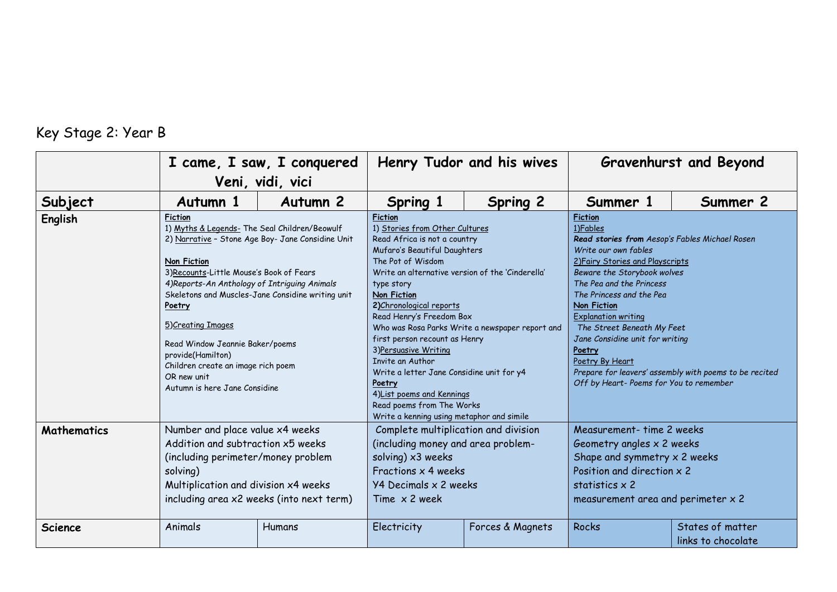## Key Stage 2: Year B

|                    | I came, I saw, I conquered                                                                                                                                                                                                                                                                                                                                                                                                                                                 |                  |                                                                                                                                                                                                                               | Henry Tudor and his wives                                                                                                                                                                                                                                                                                                                     |                                                                                                                                                                                            | <b>Gravenhurst and Beyond</b>                                                                                                                                                                                                                                                                                                                                                                                                                                                  |  |
|--------------------|----------------------------------------------------------------------------------------------------------------------------------------------------------------------------------------------------------------------------------------------------------------------------------------------------------------------------------------------------------------------------------------------------------------------------------------------------------------------------|------------------|-------------------------------------------------------------------------------------------------------------------------------------------------------------------------------------------------------------------------------|-----------------------------------------------------------------------------------------------------------------------------------------------------------------------------------------------------------------------------------------------------------------------------------------------------------------------------------------------|--------------------------------------------------------------------------------------------------------------------------------------------------------------------------------------------|--------------------------------------------------------------------------------------------------------------------------------------------------------------------------------------------------------------------------------------------------------------------------------------------------------------------------------------------------------------------------------------------------------------------------------------------------------------------------------|--|
|                    |                                                                                                                                                                                                                                                                                                                                                                                                                                                                            | Veni, vidi, vici |                                                                                                                                                                                                                               |                                                                                                                                                                                                                                                                                                                                               |                                                                                                                                                                                            |                                                                                                                                                                                                                                                                                                                                                                                                                                                                                |  |
| Subject            | Autumn 1                                                                                                                                                                                                                                                                                                                                                                                                                                                                   | Autumn 2         | Spring 1                                                                                                                                                                                                                      | <b>Spring 2</b>                                                                                                                                                                                                                                                                                                                               | Summer 1                                                                                                                                                                                   | Summer 2                                                                                                                                                                                                                                                                                                                                                                                                                                                                       |  |
| <b>English</b>     | <b>Fiction</b><br>1) Myths & Legends- The Seal Children/Beowulf<br>2) Narrative - Stone Age Boy- Jane Considine Unit<br><b>Non Fiction</b><br>3) Recounts-Little Mouse's Book of Fears<br>4) Reports-An Anthology of Intriguing Animals<br>Skeletons and Muscles-Jane Considine writing unit<br>Poetry<br>5) Creating Images<br>Read Window Jeannie Baker/poems<br>provide(Hamilton)<br>Children create an image rich poem<br>OR new unit<br>Autumn is here Jane Considine |                  | <b>Fiction</b><br>The Pot of Wisdom<br>type story<br>Non Fiction<br>2) Chronological reports<br>3) Persuasive Writing<br>Invite an Author<br>Poetry<br>Read poems from The Works<br>Write a kenning using metaphor and simile | 1) Stories from Other Cultures<br>Read Africa is not a country<br>Mufaro's Beautiful Daughters<br>Write an alternative version of the 'Cinderella'<br>Read Henry's Freedom Box<br>Who was Rosa Parks Write a newspaper report and<br>first person recount as Henry<br>Write a letter Jane Considine unit for y4<br>4) List poems and Kennings |                                                                                                                                                                                            | <b>Fiction</b><br>1)Fables<br>Read stories from Aesop's Fables Michael Rosen<br>Write our own fables<br>2) Fairy Stories and Playscripts<br>Beware the Storybook wolves<br>The Pea and the Princess<br>The Princess and the Pea<br>Non Fiction<br><b>Explanation writing</b><br>The Street Beneath My Feet<br>Jane Considine unit for writing<br>Poetry<br>Poetry By Heart<br>Prepare for leavers' assembly with poems to be recited<br>Off by Heart-Poems for You to remember |  |
| <b>Mathematics</b> | Number and place value x4 weeks<br>Addition and subtraction x5 weeks<br>(including perimeter/money problem<br>solving)<br>Multiplication and division x4 weeks<br>including area x2 weeks (into next term)                                                                                                                                                                                                                                                                 |                  | Complete multiplication and division<br>(including money and area problem-<br>solving) x3 weeks<br>Fractions $\times$ 4 weeks<br>Y4 Decimals x 2 weeks<br>Time $\times$ 2 week                                                |                                                                                                                                                                                                                                                                                                                                               | Measurement- time 2 weeks<br>Geometry angles x 2 weeks<br>Shape and symmetry $\times$ 2 weeks<br>Position and direction x 2<br>statistics x 2<br>measurement area and perimeter $\times$ 2 |                                                                                                                                                                                                                                                                                                                                                                                                                                                                                |  |
| <b>Science</b>     | Animals                                                                                                                                                                                                                                                                                                                                                                                                                                                                    | Humans           | Electricity                                                                                                                                                                                                                   | Forces & Magnets                                                                                                                                                                                                                                                                                                                              | <b>Rocks</b>                                                                                                                                                                               | States of matter<br>links to chocolate                                                                                                                                                                                                                                                                                                                                                                                                                                         |  |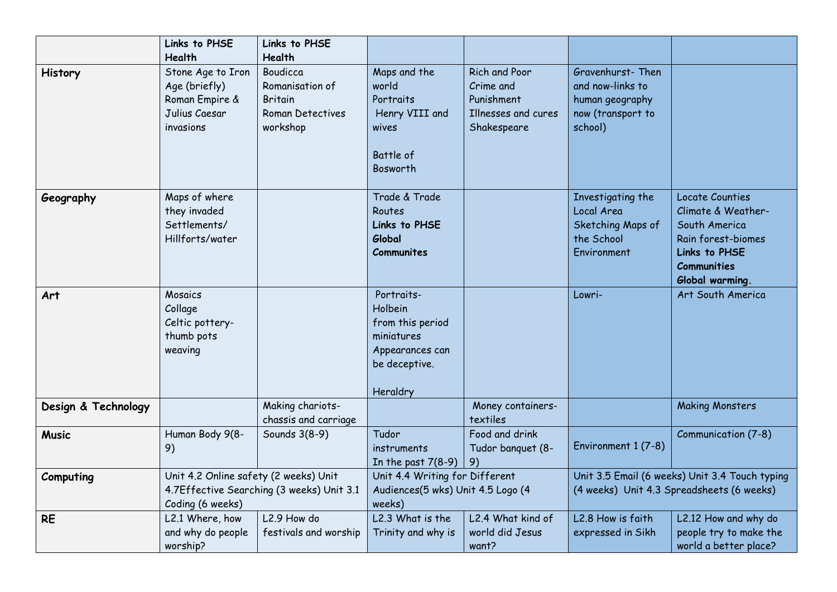|                     | Links to PHSE<br>Health                                                                                | Links to PHSE<br>Health                                                              |                                                                                                         |                                                                                |                                                                                             |                                                                                                                                               |
|---------------------|--------------------------------------------------------------------------------------------------------|--------------------------------------------------------------------------------------|---------------------------------------------------------------------------------------------------------|--------------------------------------------------------------------------------|---------------------------------------------------------------------------------------------|-----------------------------------------------------------------------------------------------------------------------------------------------|
| <b>History</b>      | Stone Age to Iron<br>Age (briefly)<br>Roman Empire &<br>Julius Caesar<br>invasions                     | Boudicca<br>Romanisation of<br><b>Britain</b><br><b>Roman Detectives</b><br>workshop | Maps and the<br>world<br>Portraits<br>Henry VIII and<br>wives<br>Battle of<br>Bosworth                  | Rich and Poor<br>Crime and<br>Punishment<br>Illnesses and cures<br>Shakespeare | Gravenhurst-Then<br>and now-links to<br>human geography<br>now (transport to<br>school)     |                                                                                                                                               |
| Geography           | Maps of where<br>they invaded<br>Settlements/<br>Hillforts/water                                       |                                                                                      | Trade & Trade<br>Routes<br>Links to PHSE<br>Global<br>Communites                                        |                                                                                | Investigating the<br>Local Area<br>Sketching Maps of<br>the School<br>Environment           | <b>Locate Counties</b><br>Climate & Weather-<br>South America<br>Rain forest-biomes<br>Links to PHSE<br><b>Communities</b><br>Global warming. |
| Art                 | <b>Mosaics</b><br>Collage<br>Celtic pottery-<br>thumb pots<br>weaving                                  |                                                                                      | Portraits-<br>Holbein<br>from this period<br>miniatures<br>Appearances can<br>be deceptive.<br>Heraldry |                                                                                | Lowri-                                                                                      | Art South America                                                                                                                             |
| Design & Technology |                                                                                                        | Making chariots-<br>chassis and carriage                                             |                                                                                                         | Money containers-<br>textiles                                                  |                                                                                             | <b>Making Monsters</b>                                                                                                                        |
| <b>Music</b>        | Human Body 9(8-<br>9)                                                                                  | Sounds 3(8-9)                                                                        | Tudor<br>instruments<br>In the past $7(8-9)$                                                            | Food and drink<br>Tudor banquet (8-<br>9)                                      | Environment 1 (7-8)                                                                         | Communication (7-8)                                                                                                                           |
| Computing           | Unit 4.2 Online safety (2 weeks) Unit<br>4.7Effective Searching (3 weeks) Unit 3.1<br>Coding (6 weeks) |                                                                                      | Unit 4.4 Writing for Different<br>Audiences(5 wks) Unit 4.5 Logo (4<br>weeks)                           |                                                                                | Unit 3.5 Email (6 weeks) Unit 3.4 Touch typing<br>(4 weeks) Unit 4.3 Spreadsheets (6 weeks) |                                                                                                                                               |
| <b>RE</b>           | L2.1 Where, how<br>and why do people<br>worship?                                                       | L <sub>2.9</sub> How do<br>festivals and worship                                     | L2.3 What is the<br>Trinity and why is                                                                  | L2.4 What kind of<br>world did Jesus<br>want?                                  | L2.8 How is faith<br>expressed in Sikh                                                      | L2.12 How and why do<br>people try to make the<br>world a better place?                                                                       |